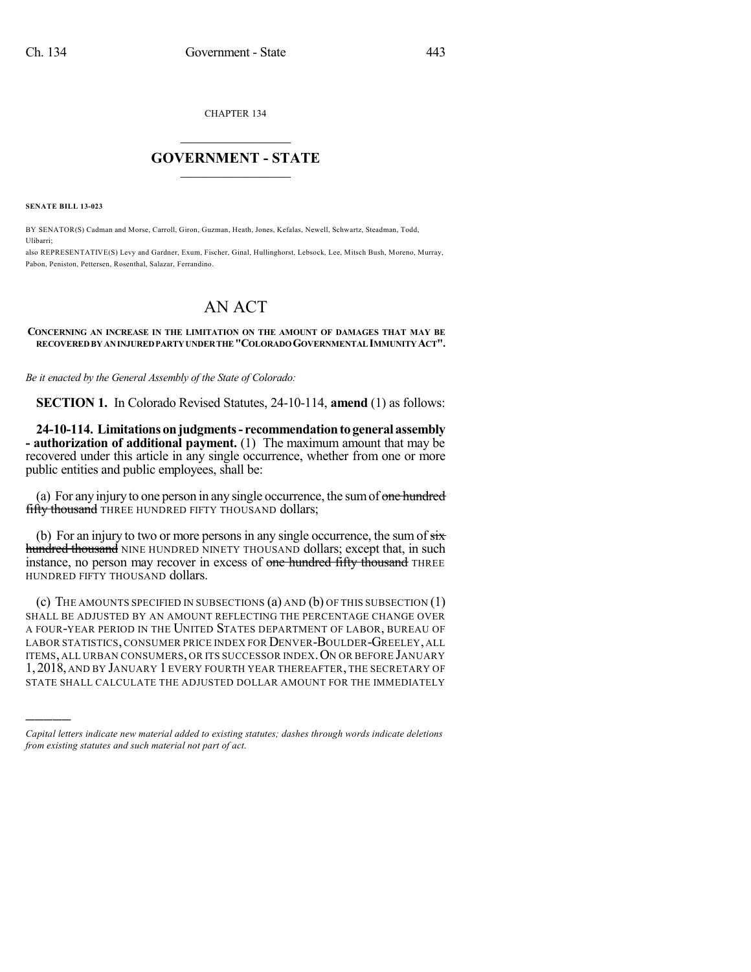CHAPTER 134

## $\overline{\phantom{a}}$  . The set of the set of the set of the set of the set of the set of the set of the set of the set of the set of the set of the set of the set of the set of the set of the set of the set of the set of the set o **GOVERNMENT - STATE**  $\_$

**SENATE BILL 13-023**

)))))

BY SENATOR(S) Cadman and Morse, Carroll, Giron, Guzman, Heath, Jones, Kefalas, Newell, Schwartz, Steadman, Todd, Ulibarri;

also REPRESENTATIVE(S) Levy and Gardner, Exum, Fischer, Ginal, Hullinghorst, Lebsock, Lee, Mitsch Bush, Moreno, Murray, Pabon, Peniston, Pettersen, Rosenthal, Salazar, Ferrandino.

## AN ACT

## **CONCERNING AN INCREASE IN THE LIMITATION ON THE AMOUNT OF DAMAGES THAT MAY BE RECOVEREDBY ANINJUREDPARTYUNDERTHE "COLORADOGOVERNMENTAL IMMUNITYACT".**

*Be it enacted by the General Assembly of the State of Colorado:*

**SECTION 1.** In Colorado Revised Statutes, 24-10-114, **amend** (1) as follows:

**24-10-114. Limitations onjudgments- recommendationtogeneral assembly - authorization of additional payment.** (1) The maximum amount that may be recovered under this article in any single occurrence, whether from one or more public entities and public employees, shall be:

(a) For any injury to one person in any single occurrence, the sum of one hundred fifty thousand THREE HUNDRED FIFTY THOUSAND dollars;

(b) For an injury to two or more persons in any single occurrence, the sum of  $s\ddot{x}$ hundred thousand NINE HUNDRED NINETY THOUSAND dollars; except that, in such instance, no person may recover in excess of one hundred fifty thousand THREE HUNDRED FIFTY THOUSAND dollars.

(c) THE AMOUNTS SPECIFIED IN SUBSECTIONS (a) AND (b) OF THIS SUBSECTION (1) SHALL BE ADJUSTED BY AN AMOUNT REFLECTING THE PERCENTAGE CHANGE OVER A FOUR-YEAR PERIOD IN THE UNITED STATES DEPARTMENT OF LABOR, BUREAU OF LABOR STATISTICS, CONSUMER PRICE INDEX FOR DENVER-BOULDER-GREELEY, ALL ITEMS, ALL URBAN CONSUMERS, OR ITS SUCCESSOR INDEX. ON OR BEFORE JANUARY 1, 2018, AND BY JANUARY 1 EVERY FOURTH YEAR THEREAFTER, THE SECRETARY OF STATE SHALL CALCULATE THE ADJUSTED DOLLAR AMOUNT FOR THE IMMEDIATELY

*Capital letters indicate new material added to existing statutes; dashes through words indicate deletions from existing statutes and such material not part of act.*